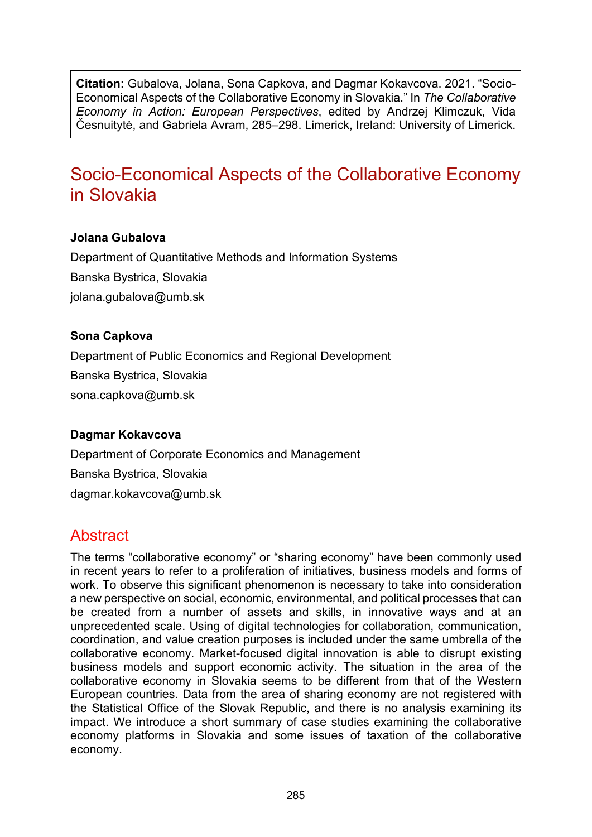**Citation:** Gubalova, Jolana, Sona Capkova, and Dagmar Kokavcova. 2021. "Socio-Economical Aspects of the Collaborative Economy in Slovakia." In *The Collaborative Economy in Action: European Perspectives*, edited by Andrzej Klimczuk, Vida Česnuitytė, and Gabriela Avram, 285–298. Limerick, Ireland: University of Limerick.

# Socio-Economical Aspects of the Collaborative Economy in Slovakia

#### **Jolana Gubalova**

Department of Quantitative Methods and Information Systems Banska Bystrica, Slovakia [jolana.gubalova@umb.sk](mailto:jolana.gubalova@umb.sk)

#### **Sona Capkova**

Department of Public Economics and Regional Development Banska Bystrica, Slovakia [sona.capkova@umb.sk](mailto:sona.capkova@umb.sk)

#### **Dagmar Kokavcova**

Department of Corporate Economics and Management Banska Bystrica, Slovakia [dagmar.kokavcova@umb.sk](mailto:dagmar.kokavcova@umb.sk)

### Abstract

The terms "collaborative economy" or "sharing economy" have been commonly used in recent years to refer to a proliferation of initiatives, business models and forms of work. To observe this significant phenomenon is necessary to take into consideration a new perspective on social, economic, environmental, and political processes that can be created from a number of assets and skills, in innovative ways and at an unprecedented scale. Using of digital technologies for collaboration, communication, coordination, and value creation purposes is included under the same umbrella of the collaborative economy. Market-focused digital innovation is able to disrupt existing business models and support economic activity. The situation in the area of the collaborative economy in Slovakia seems to be different from that of the Western European countries. Data from the area of sharing economy are not registered with the Statistical Office of the Slovak Republic, and there is no analysis examining its impact. We introduce a short summary of case studies examining the collaborative economy platforms in Slovakia and some issues of taxation of the collaborative economy.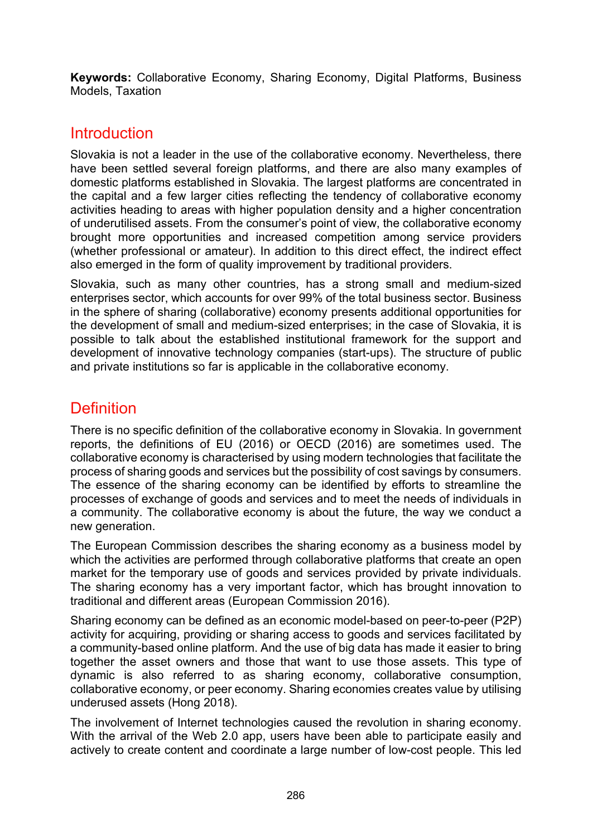**Keywords:** Collaborative Economy, Sharing Economy, Digital Platforms, Business Models, Taxation

#### **Introduction**

Slovakia is not a leader in the use of the collaborative economy. Nevertheless, there have been settled several foreign platforms, and there are also many examples of domestic platforms established in Slovakia. The largest platforms are concentrated in the capital and a few larger cities reflecting the tendency of collaborative economy activities heading to areas with higher population density and a higher concentration of underutilised assets. From the consumer's point of view, the collaborative economy brought more opportunities and increased competition among service providers (whether professional or amateur). In addition to this direct effect, the indirect effect also emerged in the form of quality improvement by traditional providers.

Slovakia, such as many other countries, has a strong small and medium-sized enterprises sector, which accounts for over 99% of the total business sector. Business in the sphere of sharing (collaborative) economy presents additional opportunities for the development of small and medium-sized enterprises; in the case of Slovakia, it is possible to talk about the established institutional framework for the support and development of innovative technology companies (start-ups). The structure of public and private institutions so far is applicable in the collaborative economy.

### **Definition**

There is no specific definition of the collaborative economy in Slovakia. In government reports, the definitions of EU (2016) or OECD (2016) are sometimes used. The collaborative economy is characterised by using modern technologies that facilitate the process of sharing goods and services but the possibility of cost savings by consumers. The essence of the sharing economy can be identified by efforts to streamline the processes of exchange of goods and services and to meet the needs of individuals in a community. The collaborative economy is about the future, the way we conduct a new generation.

The European Commission describes the sharing economy as a business model by which the activities are performed through collaborative platforms that create an open market for the temporary use of goods and services provided by private individuals. The sharing economy has a very important factor, which has brought innovation to traditional and different areas (European Commission 2016).

Sharing economy can be defined as an economic model-based on peer-to-peer (P2P) activity for acquiring, providing or sharing access to goods and services facilitated by a community-based online platform. And the use of big data has made it easier to bring together the asset owners and those that want to use those assets. This type of dynamic is also referred to as sharing economy, collaborative consumption, collaborative economy, or peer economy. Sharing economies creates value by utilising underused assets (Hong 2018).

The involvement of Internet technologies caused the revolution in sharing economy. With the arrival of the Web 2.0 app, users have been able to participate easily and actively to create content and coordinate a large number of low-cost people. This led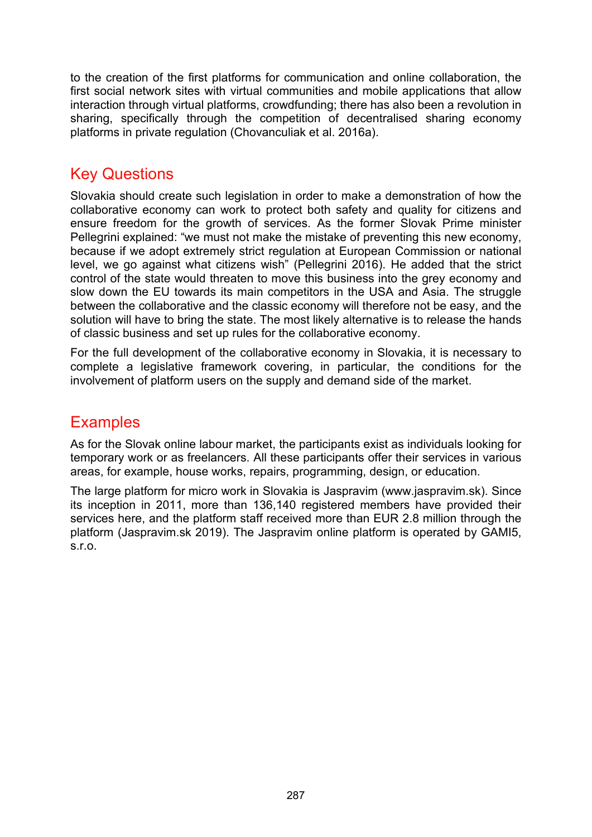to the creation of the first platforms for communication and online collaboration, the first social network sites with virtual communities and mobile applications that allow interaction through virtual platforms, crowdfunding; there has also been a revolution in sharing, specifically through the competition of decentralised sharing economy platforms in private regulation (Chovanculiak et al. 2016a).

## Key Questions

Slovakia should create such legislation in order to make a demonstration of how the collaborative economy can work to protect both safety and quality for citizens and ensure freedom for the growth of services. As the former Slovak Prime minister Pellegrini explained: "we must not make the mistake of preventing this new economy, because if we adopt extremely strict regulation at European Commission or national level, we go against what citizens wish" (Pellegrini 2016). He added that the strict control of the state would threaten to move this business into the grey economy and slow down the EU towards its main competitors in the USA and Asia. The struggle between the collaborative and the classic economy will therefore not be easy, and the solution will have to bring the state. The most likely alternative is to release the hands of classic business and set up rules for the collaborative economy.

For the full development of the collaborative economy in Slovakia, it is necessary to complete a legislative framework covering, in particular, the conditions for the involvement of platform users on the supply and demand side of the market.

### **Examples**

As for the Slovak online labour market, the participants exist as individuals looking for temporary work or as freelancers. All these participants offer their services in various areas, for example, house works, repairs, programming, design, or education.

The large platform for micro work in Slovakia is Jaspravim [\(www.jaspravim.sk\)](https://www.jaspravim.sk/). Since its inception in 2011, more than 136,140 registered members have provided their services here, and the platform staff received more than EUR 2.8 million through the platform (Jaspravim.sk 2019). The Jaspravim online platform is operated by GAMI5, s.r.o.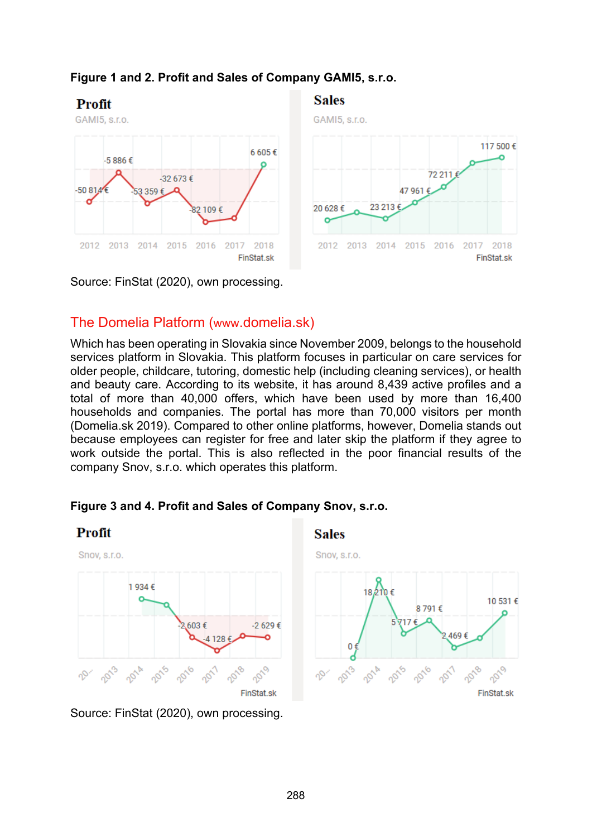

#### **Figure 1 and 2. Profit and Sales of Company GAMI5, s.r.o.**

Source: FinStat (2020), own processing.

### The Domelia Platform (www.domelia.sk)

Which has been operating in Slovakia since November 2009, belongs to the household services platform in Slovakia. This platform focuses in particular on care services for older people, childcare, tutoring, domestic help (including cleaning services), or health and beauty care. According to its website, it has around 8,439 active profiles and a total of more than 40,000 offers, which have been used by more than 16,400 households and companies. The portal has more than 70,000 visitors per month (Domelia.sk 2019). Compared to other online platforms, however, Domelia stands out because employees can register for free and later skip the platform if they agree to work outside the portal. This is also reflected in the poor financial results of the company Snov, s.r.o. which operates this platform.



### **Figure 3 and 4. Profit and Sales of Company Snov, s.r.o.**

Source: FinStat (2020), own processing.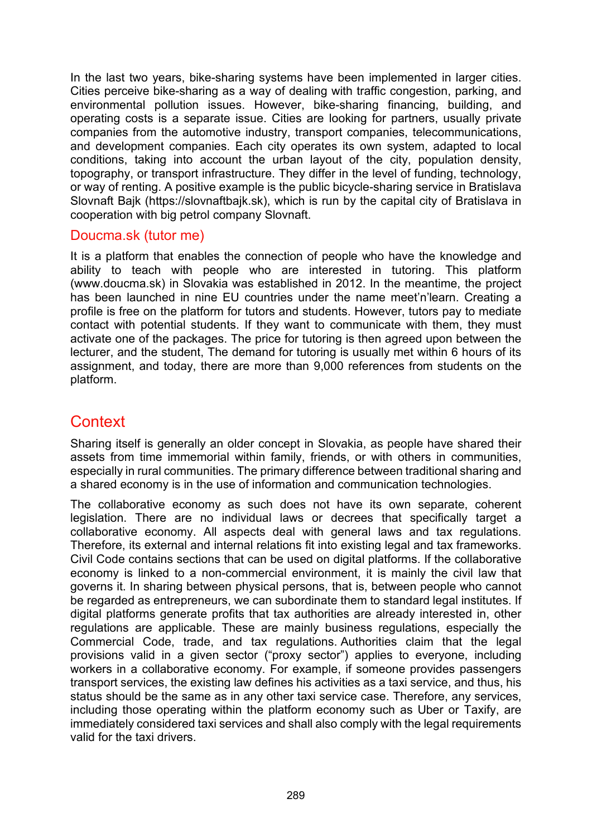In the last two years, bike-sharing systems have been implemented in larger cities. Cities perceive bike-sharing as a way of dealing with traffic congestion, parking, and environmental pollution issues. However, bike-sharing financing, building, and operating costs is a separate issue. Cities are looking for partners, usually private companies from the automotive industry, transport companies, telecommunications, and development companies. Each city operates its own system, adapted to local conditions, taking into account the urban layout of the city, population density, topography, or transport infrastructure. They differ in the level of funding, technology, or way of renting. A positive example is the public bicycle-sharing service in Bratislava Slovnaft Bajk ([https://slovnaftbajk.sk](https://slovnaftbajk.sk/)), which is run by the capital city of Bratislava in cooperation with big petrol company Slovnaft.

#### Doucma.sk (tutor me)

It is a platform that enables the connection of people who have the knowledge and ability to teach with people who are interested in tutoring. This platform (www.doucma.sk) in Slovakia was established in 2012. In the meantime, the project has been launched in nine EU countries under the name meet'n'learn. Creating a profile is free on the platform for tutors and students. However, tutors pay to mediate contact with potential students. If they want to communicate with them, they must activate one of the packages. The price for tutoring is then agreed upon between the lecturer, and the student, The demand for tutoring is usually met within 6 hours of its assignment, and today, there are more than 9,000 references from students on the platform.

### **Context**

Sharing itself is generally an older concept in Slovakia, as people have shared their assets from time immemorial within family, friends, or with others in communities, especially in rural communities. The primary difference between traditional sharing and a shared economy is in the use of information and communication technologies.

The collaborative economy as such does not have its own separate, coherent legislation. There are no individual laws or decrees that specifically target a collaborative economy. All aspects deal with general laws and tax regulations. Therefore, its external and internal relations fit into existing legal and tax frameworks. Civil Code contains sections that can be used on digital platforms. If the collaborative economy is linked to a non-commercial environment, it is mainly the civil law that governs it. In sharing between physical persons, that is, between people who cannot be regarded as entrepreneurs, we can subordinate them to standard legal institutes. If digital platforms generate profits that tax authorities are already interested in, other regulations are applicable. These are mainly business regulations, especially the Commercial Code, trade, and tax regulations. Authorities claim that the legal provisions valid in a given sector ("proxy sector") applies to everyone, including workers in a collaborative economy. For example, if someone provides passengers transport services, the existing law defines his activities as a taxi service, and thus, his status should be the same as in any other taxi service case. Therefore, any services, including those operating within the platform economy such as Uber or Taxify, are immediately considered taxi services and shall also comply with the legal requirements valid for the taxi drivers.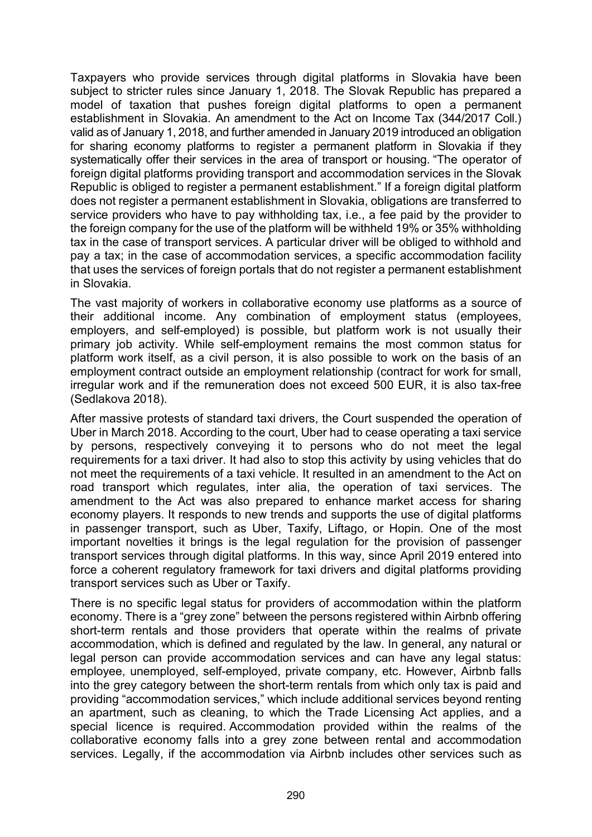Taxpayers who provide services through digital platforms in Slovakia have been subject to stricter rules since January 1, 2018. The Slovak Republic has prepared a model of taxation that pushes foreign digital platforms to open a permanent establishment in Slovakia. An amendment to the Act on Income Tax (344/2017 Coll.) valid as of January 1, 2018, and further amended in January 2019 introduced an obligation for sharing economy platforms to register a permanent platform in Slovakia if they systematically offer their services in the area of transport or housing. "The operator of foreign digital platforms providing transport and accommodation services in the Slovak Republic is obliged to register a permanent establishment." If a foreign digital platform does not register a permanent establishment in Slovakia, obligations are transferred to service providers who have to pay withholding tax, i.e., a fee paid by the provider to the foreign company for the use of the platform will be withheld 19% or 35% withholding tax in the case of transport services. A particular driver will be obliged to withhold and pay a tax; in the case of accommodation services, a specific accommodation facility that uses the services of foreign portals that do not register a permanent establishment in Slovakia.

The vast majority of workers in collaborative economy use platforms as a source of their additional income. Any combination of employment status (employees, employers, and self-employed) is possible, but platform work is not usually their primary job activity. While self-employment remains the most common status for platform work itself, as a civil person, it is also possible to work on the basis of an employment contract outside an employment relationship (contract for work for small, irregular work and if the remuneration does not exceed 500 EUR, it is also tax-free (Sedlakova 2018).

After massive protests of standard taxi drivers, the Court suspended the operation of Uber in March 2018. According to the court, Uber had to cease operating a taxi service by persons, respectively conveying it to persons who do not meet the legal requirements for a taxi driver. It had also to stop this activity by using vehicles that do not meet the requirements of a taxi vehicle. It resulted in an amendment to the Act on road transport which regulates, inter alia, the operation of taxi services. The amendment to the Act was also prepared to enhance market access for sharing economy players. It responds to new trends and supports the use of digital platforms in passenger transport, such as Uber, Taxify, Liftago, or Hopin. One of the most important novelties it brings is the legal regulation for the provision of passenger transport services through digital platforms. In this way, since April 2019 entered into force a coherent regulatory framework for taxi drivers and digital platforms providing transport services such as Uber or Taxify.

There is no specific legal status for providers of accommodation within the platform economy. There is a "grey zone" between the persons registered within Airbnb offering short-term rentals and those providers that operate within the realms of private accommodation, which is defined and regulated by the law. In general, any natural or legal person can provide accommodation services and can have any legal status: employee, unemployed, self-employed, private company, etc. However, Airbnb falls into the grey category between the short-term rentals from which only tax is paid and providing "accommodation services," which include additional services beyond renting an apartment, such as cleaning, to which the Trade Licensing Act applies, and a special licence is required. Accommodation provided within the realms of the collaborative economy falls into a grey zone between rental and accommodation services. Legally, if the accommodation via Airbnb includes other services such as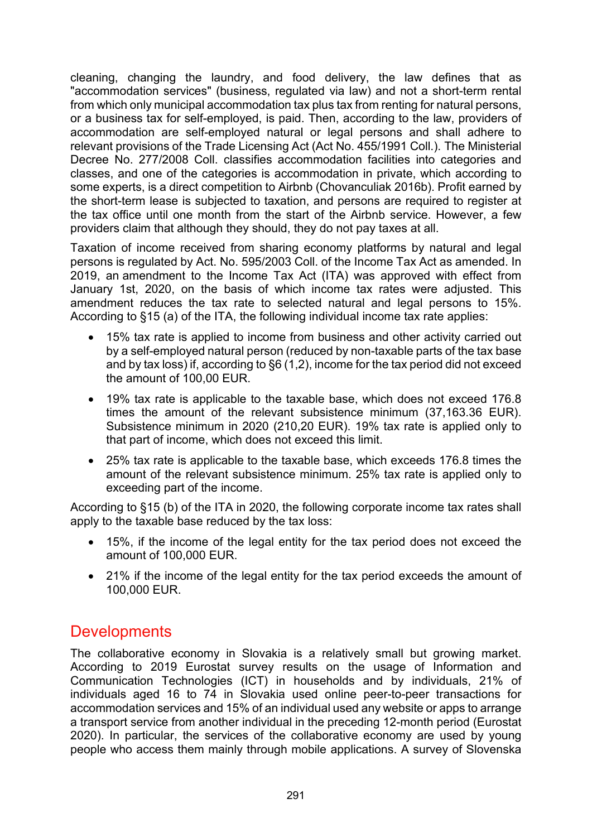cleaning, changing the laundry, and food delivery, the law defines that as "accommodation services" (business, regulated via law) and not a short-term rental from which only municipal accommodation tax plus tax from renting for natural persons, or a business tax for self-employed, is paid. Then, according to the law, providers of accommodation are self-employed natural or legal persons and shall adhere to relevant provisions of the Trade Licensing Act (Act No. 455/1991 Coll.). The Ministerial Decree No. 277/2008 Coll. classifies accommodation facilities into categories and classes, and one of the categories is accommodation in private, which according to some experts, is a direct competition to Airbnb (Chovanculiak 2016b). Profit earned by the short-term lease is subjected to taxation, and persons are required to register at the tax office until one month from the start of the Airbnb service. However, a few providers claim that although they should, they do not pay taxes at all.

Taxation of income received from sharing economy platforms by natural and legal persons is regulated by Act. No. 595/2003 Coll. of the Income Tax Act as amended. In 2019, an amendment to the Income Tax Act (ITA) was approved with effect from January 1st, 2020, on the basis of which income tax rates were adjusted. This amendment reduces the tax rate to selected natural and legal persons to 15%. According to §15 (a) of the ITA, the following individual income tax rate applies:

- 15% tax rate is applied to income from business and other activity carried out by a self-employed natural person (reduced by non-taxable parts of the tax base and by tax loss) if, according to §6 (1,2), income for the tax period did not exceed the amount of 100,00 EUR.
- 19% tax rate is applicable to the taxable base, which does not exceed 176.8 times the amount of the relevant subsistence minimum (37,163.36 EUR). Subsistence minimum in 2020 (210,20 EUR). 19% tax rate is applied only to that part of income, which does not exceed this limit.
- 25% tax rate is applicable to the taxable base, which exceeds 176.8 times the amount of the relevant subsistence minimum. 25% tax rate is applied only to exceeding part of the income.

According to §15 (b) of the ITA in 2020, the following corporate income tax rates shall apply to the taxable base reduced by the tax loss:

- 15%, if the income of the legal entity for the tax period does not exceed the amount of 100,000 EUR.
- 21% if the income of the legal entity for the tax period exceeds the amount of 100,000 EUR.

## **Developments**

The collaborative economy in Slovakia is a relatively small but growing market. According to 2019 Eurostat survey results on the usage of Information and Communication Technologies (ICT) in households and by individuals, 21% of individuals aged 16 to 74 in Slovakia used online peer-to-peer transactions for accommodation services and 15% of an individual used any website or apps to arrange a transport service from another individual in the preceding 12-month period (Eurostat 2020). In particular, the services of the collaborative economy are used by young people who access them mainly through mobile applications. A survey of Slovenska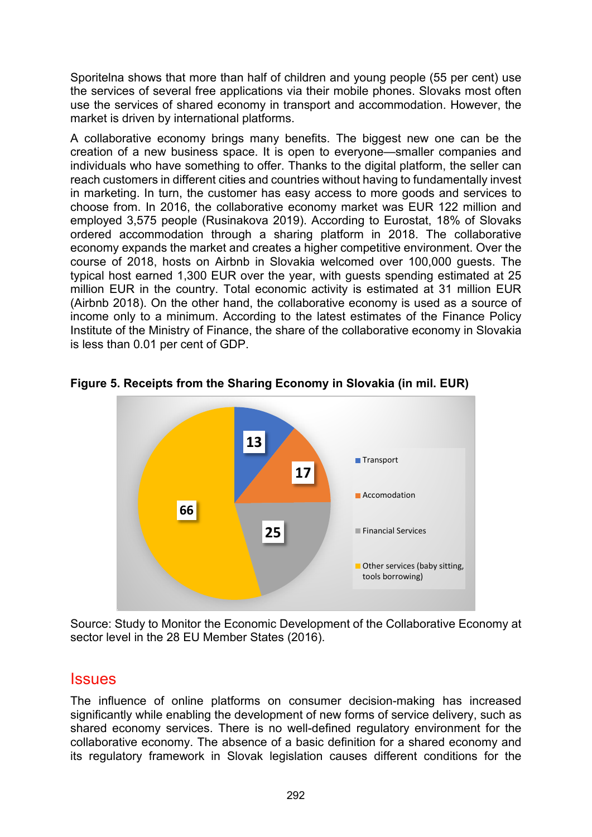Sporitelna shows that more than half of children and young people (55 per cent) use the services of several free applications via their mobile phones. Slovaks most often use the services of shared economy in transport and accommodation. However, the market is driven by international platforms.

A collaborative economy brings many benefits. The biggest new one can be the creation of a new business space. It is open to everyone—smaller companies and individuals who have something to offer. Thanks to the digital platform, the seller can reach customers in different cities and countries without having to fundamentally invest in marketing. In turn, the customer has easy access to more goods and services to choose from. In 2016, the collaborative economy market was EUR 122 million and employed 3,575 people (Rusinakova 2019). According to Eurostat, 18% of Slovaks ordered accommodation through a sharing platform in 2018. The collaborative economy expands the market and creates a higher competitive environment. Over the course of 2018, hosts on Airbnb in Slovakia welcomed over 100,000 guests. The typical host earned 1,300 EUR over the year, with guests spending estimated at 25 million EUR in the country. Total economic activity is estimated at 31 million EUR (Airbnb 2018). On the other hand, the collaborative economy is used as a source of income only to a minimum. According to the latest estimates of the Finance Policy Institute of the Ministry of Finance, the share of the collaborative economy in Slovakia is less than 0.01 per cent of GDP.



**Figure 5. Receipts from the Sharing Economy in Slovakia (in mil. EUR)**



Source: Study to Monitor the Economic Development of the Collaborative Economy at sector level in the 28 EU Member States (2016).

#### **Issues**

The influence of online platforms on consumer decision-making has increased significantly while enabling the development of new forms of service delivery, such as shared economy services. There is no well-defined regulatory environment for the collaborative economy. The absence of a basic definition for a shared economy and its regulatory framework in Slovak legislation causes different conditions for the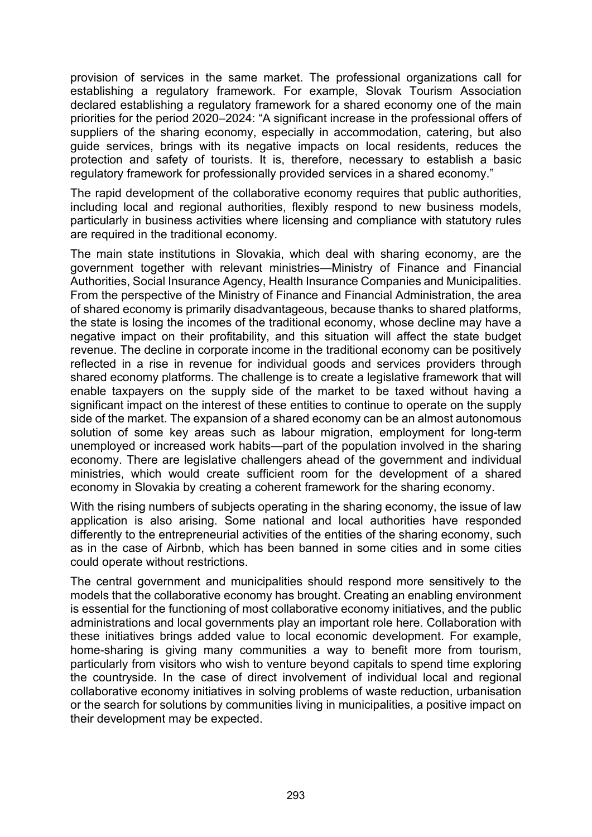provision of services in the same market. The professional organizations call for establishing a regulatory framework. For example, Slovak Tourism Association declared establishing a regulatory framework for a shared economy one of the main priorities for the period 2020–2024: "A significant increase in the professional offers of suppliers of the sharing economy, especially in accommodation, catering, but also guide services, brings with its negative impacts on local residents, reduces the protection and safety of tourists. It is, therefore, necessary to establish a basic regulatory framework for professionally provided services in a shared economy."

The rapid development of the collaborative economy requires that public authorities, including local and regional authorities, flexibly respond to new business models, particularly in business activities where licensing and compliance with statutory rules are required in the traditional economy.

The main state institutions in Slovakia, which deal with sharing economy, are the government together with relevant ministries—Ministry of Finance and Financial Authorities, Social Insurance Agency, Health Insurance Companies and Municipalities. From the perspective of the Ministry of Finance and Financial Administration, the area of shared economy is primarily disadvantageous, because thanks to shared platforms, the state is losing the incomes of the traditional economy, whose decline may have a negative impact on their profitability, and this situation will affect the state budget revenue. The decline in corporate income in the traditional economy can be positively reflected in a rise in revenue for individual goods and services providers through shared economy platforms. The challenge is to create a legislative framework that will enable taxpayers on the supply side of the market to be taxed without having a significant impact on the interest of these entities to continue to operate on the supply side of the market. The expansion of a shared economy can be an almost autonomous solution of some key areas such as labour migration, employment for long-term unemployed or increased work habits—part of the population involved in the sharing economy. There are legislative challengers ahead of the government and individual ministries, which would create sufficient room for the development of a shared economy in Slovakia by creating a coherent framework for the sharing economy.

With the rising numbers of subjects operating in the sharing economy, the issue of law application is also arising. Some national and local authorities have responded differently to the entrepreneurial activities of the entities of the sharing economy, such as in the case of Airbnb, which has been banned in some cities and in some cities could operate without restrictions.

The central government and municipalities should respond more sensitively to the models that the collaborative economy has brought. Creating an enabling environment is essential for the functioning of most collaborative economy initiatives, and the public administrations and local governments play an important role here. Collaboration with these initiatives brings added value to local economic development. For example, home-sharing is giving many communities a way to benefit more from tourism, particularly from visitors who wish to venture beyond capitals to spend time exploring the countryside. In the case of direct involvement of individual local and regional collaborative economy initiatives in solving problems of waste reduction, urbanisation or the search for solutions by communities living in municipalities, a positive impact on their development may be expected.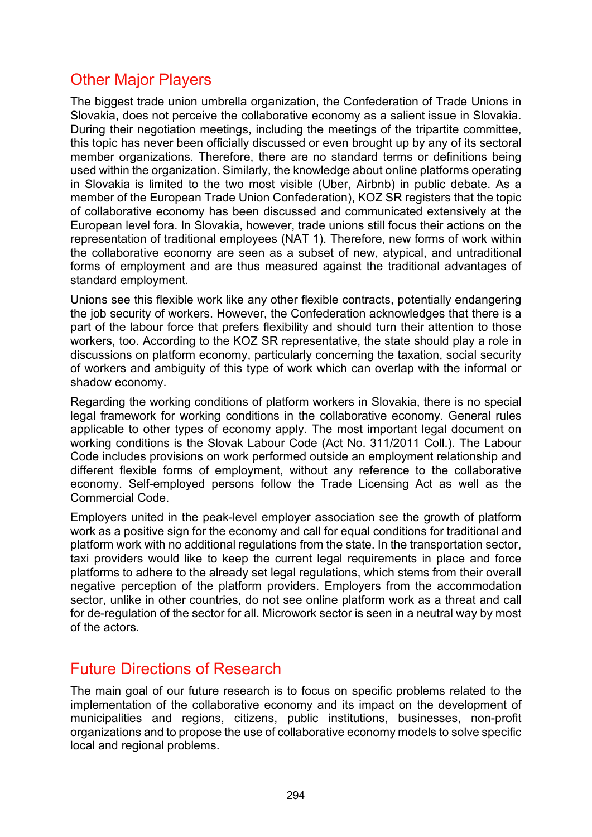## Other Major Players

The biggest trade union umbrella organization, the Confederation of Trade Unions in Slovakia, does not perceive the collaborative economy as a salient issue in Slovakia. During their negotiation meetings, including the meetings of the tripartite committee, this topic has never been officially discussed or even brought up by any of its sectoral member organizations. Therefore, there are no standard terms or definitions being used within the organization. Similarly, the knowledge about online platforms operating in Slovakia is limited to the two most visible (Uber, Airbnb) in public debate. As a member of the European Trade Union Confederation), KOZ SR registers that the topic of collaborative economy has been discussed and communicated extensively at the European level fora. In Slovakia, however, trade unions still focus their actions on the representation of traditional employees (NAT 1). Therefore, new forms of work within the collaborative economy are seen as a subset of new, atypical, and untraditional forms of employment and are thus measured against the traditional advantages of standard employment.

Unions see this flexible work like any other flexible contracts, potentially endangering the job security of workers. However, the Confederation acknowledges that there is a part of the labour force that prefers flexibility and should turn their attention to those workers, too. According to the KOZ SR representative, the state should play a role in discussions on platform economy, particularly concerning the taxation, social security of workers and ambiguity of this type of work which can overlap with the informal or shadow economy.

Regarding the working conditions of platform workers in Slovakia, there is no special legal framework for working conditions in the collaborative economy. General rules applicable to other types of economy apply. The most important legal document on working conditions is the Slovak Labour Code (Act No. 311/2011 Coll.). The Labour Code includes provisions on work performed outside an employment relationship and different flexible forms of employment, without any reference to the collaborative economy. Self-employed persons follow the Trade Licensing Act as well as the Commercial Code.

Employers united in the peak-level employer association see the growth of platform work as a positive sign for the economy and call for equal conditions for traditional and platform work with no additional regulations from the state. In the transportation sector, taxi providers would like to keep the current legal requirements in place and force platforms to adhere to the already set legal regulations, which stems from their overall negative perception of the platform providers. Employers from the accommodation sector, unlike in other countries, do not see online platform work as a threat and call for de-regulation of the sector for all. Microwork sector is seen in a neutral way by most of the actors.

### Future Directions of Research

The main goal of our future research is to focus on specific problems related to the implementation of the collaborative economy and its impact on the development of municipalities and regions, citizens, public institutions, businesses, non-profit organizations and to propose the use of collaborative economy models to solve specific local and regional problems.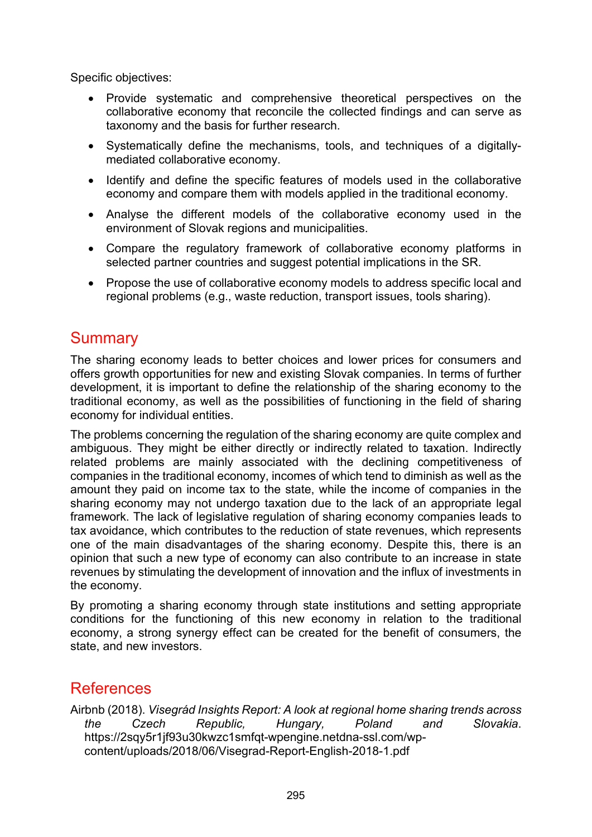Specific objectives:

- Provide systematic and comprehensive theoretical perspectives on the collaborative economy that reconcile the collected findings and can serve as taxonomy and the basis for further research.
- Systematically define the mechanisms, tools, and techniques of a digitallymediated collaborative economy.
- Identify and define the specific features of models used in the collaborative economy and compare them with models applied in the traditional economy.
- Analyse the different models of the collaborative economy used in the environment of Slovak regions and municipalities.
- Compare the regulatory framework of collaborative economy platforms in selected partner countries and suggest potential implications in the SR.
- Propose the use of collaborative economy models to address specific local and regional problems (e.g., waste reduction, transport issues, tools sharing).

### **Summary**

The sharing economy leads to better choices and lower prices for consumers and offers growth opportunities for new and existing Slovak companies. In terms of further development, it is important to define the relationship of the sharing economy to the traditional economy, as well as the possibilities of functioning in the field of sharing economy for individual entities.

The problems concerning the regulation of the sharing economy are quite complex and ambiguous. They might be either directly or indirectly related to taxation. Indirectly related problems are mainly associated with the declining competitiveness of companies in the traditional economy, incomes of which tend to diminish as well as the amount they paid on income tax to the state, while the income of companies in the sharing economy may not undergo taxation due to the lack of an appropriate legal framework. The lack of legislative regulation of sharing economy companies leads to tax avoidance, which contributes to the reduction of state revenues, which represents one of the main disadvantages of the sharing economy. Despite this, there is an opinion that such a new type of economy can also contribute to an increase in state revenues by stimulating the development of innovation and the influx of investments in the economy.

By promoting a sharing economy through state institutions and setting appropriate conditions for the functioning of this new economy in relation to the traditional economy, a strong synergy effect can be created for the benefit of consumers, the state, and new investors.

### References

Airbnb (2018). *Visegrád Insights Report: A look at regional home sharing trends across the Czech Republic, Hungary, Poland and Slovakia*. [https://2sqy5r1jf93u30kwzc1smfqt-wpengine.netdna-ssl.com/wp](https://2sqy5r1jf93u30kwzc1smfqt-wpengine.netdna-ssl.com/wp-content/uploads/2018/06/Visegrad-Report-English-2018-1.pdf)[content/uploads/2018/06/Visegrad-Report-English-2018-1.pdf](https://2sqy5r1jf93u30kwzc1smfqt-wpengine.netdna-ssl.com/wp-content/uploads/2018/06/Visegrad-Report-English-2018-1.pdf)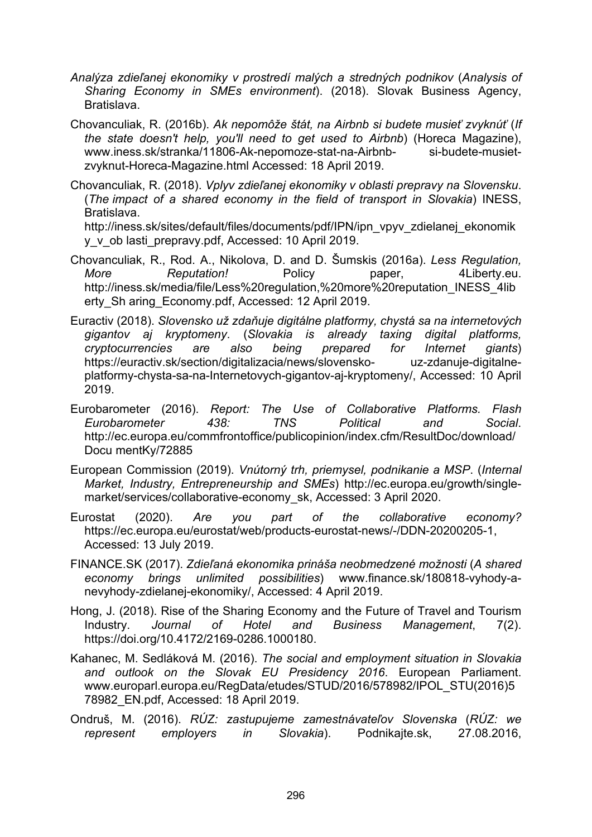- *Analýza zdieľanej ekonomiky v prostredí malých a stredných podnikov* (*Analysis of Sharing Economy in SMEs environment*). (2018). Slovak Business Agency, Bratislava.
- Chovanculiak, R. (2016b). *Ak nepomôže štát, na Airbnb si budete musieť zvyknúť* (*If the state doesn't help, you'll need to get used to Airbnb*) (Horeca Magazine), [www.iness.sk/stranka/11806-Ak-nepomoze-stat-na-](http://www.iness.sk/stranka/11806-Ak-nepomoze-stat-na-AirBnB-si-budete-musiet-zvyknut-Horeca-Magazine.html)Airbnb- si-budete[-musiet](http://www.iness.sk/stranka/11806-Ak-nepomoze-stat-na-AirBnB-si-budete-musiet-zvyknut-Horeca-Magazine.html)[zvyknut-Horeca-Magazine.html](http://www.iness.sk/stranka/11806-Ak-nepomoze-stat-na-AirBnB-si-budete-musiet-zvyknut-Horeca-Magazine.html) Accessed: 18 April 2019.
- Chovanculiak, R. (2018). *Vplyv zdieľanej ekonomiky v oblasti prepravy na Slovensku*. (*The impact of a shared economy in the field of transport in Slovakia*) INESS, Bratislava.

[http://iness.sk/sites/default/files/documents/pdf/IPN/ipn\\_vpyv\\_zdielanej\\_ekonomik](http://iness.sk/sites/default/files/documents/pdf/IPN/ipn_vpyv_zdielanej_ekonomiky_v_oblasti_prepravy.pdf) [y\\_v\\_ob](http://iness.sk/sites/default/files/documents/pdf/IPN/ipn_vpyv_zdielanej_ekonomiky_v_oblasti_prepravy.pdf) [lasti\\_prepravy.pdf, A](http://iness.sk/sites/default/files/documents/pdf/IPN/ipn_vpyv_zdielanej_ekonomiky_v_oblasti_prepravy.pdf)ccessed: 10 April 2019.

- Chovanculiak, R., Rod. A., Nikolova, D. and D. Šumskis (2016a). *Less Regulation, More Reputation!* Policy paper, 4Liberty.eu. [http://iness.sk/media/file/Less%20regulation,%20more%20reputation\\_INESS\\_4lib](http://iness.sk/media/file/Less%20regulation%2C%20more%20reputation_INESS_4liberty_Sharing_Economy.pdf) erty Sh aring Economy.pdf, Accessed: 12 April 2019.
- Euractiv (2018). *Slovensko už zdaňuje digitálne platformy, chystá sa na internetových gigantov aj kryptomeny*. (*Slovakia is already taxing digital platforms, cryptocurrencies are also being prepared for Internet giants*) [https://euractiv.sk/section/digitalizacia/news/slovensko-](https://euractiv.sk/section/digitalizacia/news/slovensko-uz-zdanuje-digitalne-platformy-chysta-sa-na-internetovych-gigantov-aj-kryptomeny/) [uz-zdanuje-digitalne](https://euractiv.sk/section/digitalizacia/news/slovensko-uz-zdanuje-digitalne-platformy-chysta-sa-na-internetovych-gigantov-aj-kryptomeny/)[platformy-chysta-sa-na-Internetovych-gigantov-aj-kryptomeny/,](https://euractiv.sk/section/digitalizacia/news/slovensko-uz-zdanuje-digitalne-platformy-chysta-sa-na-internetovych-gigantov-aj-kryptomeny/) Accessed: 10 April 2019.
- Eurobarometer (2016). *Report: The Use of Collaborative Platforms. Flash Eurobarometer 438: TNS Political and Social*. [http://ec.europa.eu/commfrontoffice/publicopinion/index.cfm/ResultDoc/download/](http://ec.europa.eu/commfrontoffice/publicopinion/index.cfm/ResultDoc/download/DocumentKy/72885) [Docu](http://ec.europa.eu/commfrontoffice/publicopinion/index.cfm/ResultDoc/download/DocumentKy/72885) [mentKy/72885](http://ec.europa.eu/commfrontoffice/publicopinion/index.cfm/ResultDoc/download/DocumentKy/72885)
- European Commission (2019). *Vnútorný trh, priemysel, podnikanie a MSP*. (*Internal Market, Industry, Entrepreneurship and SMEs*) [http://ec.europa.eu/growth/single](http://ec.europa.eu/growth/single-market/services/collaborative-economy_sk)mar[ket/services/collaborative](http://ec.europa.eu/growth/single-market/services/collaborative-economy_sk)-economy sk, Accessed: 3 April 2020.
- Eurostat (2020). *Are you part of the collaborative economy?* [https://ec.europa.eu/eurostat/web/products](https://ec.europa.eu/eurostat/web/products-eurostat-news/-/DDN-20200205-1)-eurostat-news/-/DDN-20200205-1, Accessed: 13 July 2019.
- FINANCE.SK (2017). *Zdieľaná ekonomika prináša neobmedzené možnosti* (*A shared economy brings unlimited possibilities*) [www.finance.sk/180818-vyhody-a](https://www.finance.sk/180818-vyhody-a-nevyhody-zdielanej-ekonomiky/)[nevyhody-zdielanej-ekonomiky/,](https://www.finance.sk/180818-vyhody-a-nevyhody-zdielanej-ekonomiky/) Accessed: 4 April 2019.
- Hong, J. (2018). Rise of the Sharing Economy and the Future of Travel and Tourism Industry. *Journal of Hotel and Business Management*, 7(2). https://doi.org/10.4172/2169-0286.1000180.
- Kahanec, M. Sedláková M. (2016). *The social and employment situation in Slovakia and outlook on the Slovak EU Presidency 2016*. European Parliament. [www.europarl.europa.eu/RegData/etudes/STUD/2016/578982/IPOL\\_STU\(](http://www.europarl.europa.eu/RegData/etudes/STUD/2016/578982/IPOL_STU(2016)578982_EN.pdf)[2016\)5](http://www.europarl.europa.eu/RegData/etudes/STUD/2016/578982/IPOL_STU(2016)578982_EN.pdf) [78982\\_EN.pdf,](http://www.europarl.europa.eu/RegData/etudes/STUD/2016/578982/IPOL_STU(2016)578982_EN.pdf) Accessed: 18 April 2019.
- Ondruš, M. (2016). *RÚZ: zastupujeme zamestnávateľov Slovenska* (*RÚZ: we represent employers in Slovakia*). Podnikajte.sk, 27.08.2016,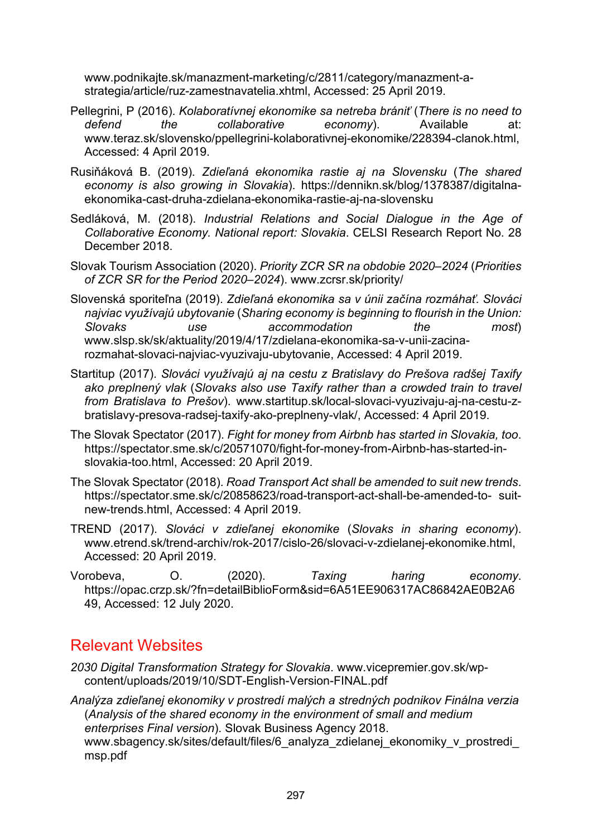[www.podnikajte.sk/manazment-](https://www.podnikajte.sk/manazment-)[marketing/c/2811/category/manazment-a](https://www.podnikajte.sk/manazment-marketing/c/2811/category/manazment-a-strategia/article/ruz-zamestnavatelia.xhtml)strategia/article/ruz-[zamestnavatelia.xhtml](https://www.podnikajte.sk/manazment-marketing/c/2811/category/manazment-a-strategia/article/ruz-zamestnavatelia.xhtml)[,](https://www.podnikajte.sk/manazment-marketing/c/2811/category/manazment-a-strategia/article/ruz-zamestnavatelia.xhtml) Accessed: 25 April 2019.

- Pellegrini, P (2016). *Kolaboratívnej ekonomike sa netreba brániť* (*There is no need to defend the collaborative economy*). Available at: [www.teraz.sk/slovensko/ppellegrini-](https://www.teraz.sk/slovensko/ppellegrini-kolaborativnej-ekonomike/228394-clanok.html)kolaborativnej-ekonomike/228394-clanok.html, Accessed: 4 April 2019.
- Rusiňáková B. (2019). *Zdieľaná ekonomika rastie aj na Slovensku* (*The shared economy is also growing in Slovakia*). [https://dennikn.sk/blog/1378387/digitalna](https://dennikn.sk/blog/1378387/digitalna-ekonomika-cast-druha-zdielana-ekonomika-rastie-aj-na-slovensku/)[ekonomika-cast-druha-zdielana-ekonomika-rastie-aj-na-slovensku](https://dennikn.sk/blog/1378387/digitalna-ekonomika-cast-druha-zdielana-ekonomika-rastie-aj-na-slovensku/)
- Sedláková, M. (2018). *Industrial Relations and Social Dialogue in the Age of Collaborative Economy. National report: Slovakia*. CELSI Research Report No. 28 December 2018.
- Slovak Tourism Association (2020). *Priority ZCR SR na obdobie 2020–2024* (*Priorities of ZCR SR for the Period 2020–2024*). [www.zcrsr.sk/priority/](http://www.zcrsr.sk/priority/)
- Slovenská sporiteľna (2019). *Zdieľaná ekonomika sa v únii začína rozmáhať. Slováci najviac využívajú ubytovanie* (*Sharing economy is beginning to flourish in the Union: Slovaks use accommodation the most*) [www.slsp.sk/sk/aktuality/2019/4/17/zdielana-ekonomika-sa-v-unii-zacina](https://www.slsp.sk/sk/aktuality/2019/4/17/zdielana-ekonomika-sa-v-unii-zacina-rozmahat-slovaci-najviac-vyuzivaju-ubytovanie)[rozmahat-slovaci-najviac-vyuzivaju-](https://www.slsp.sk/sk/aktuality/2019/4/17/zdielana-ekonomika-sa-v-unii-zacina-rozmahat-slovaci-najviac-vyuzivaju-ubytovanie)ubytovanie, Accessed: 4 April 2019.
- Startitup (2017). *Slováci využívajú aj na cestu z Bratislavy do Prešova radšej Taxify ako preplnený vlak* (*Slovaks also use Taxify rather than a crowded train to travel from Bratislava to Prešov*). [www.startitup.sk/local-slovaci-vyuzivaju-aj-na-cestu-z](https://www.startitup.sk/local-slovaci-vyuzivaju-aj-na-cestu-z-bratislavy-presova-radsej-taxify-ako-preplneny-vlak/)bratislavy-presova-radsej-taxify[-ako-preplneny-vlak/,](https://www.startitup.sk/local-slovaci-vyuzivaju-aj-na-cestu-z-bratislavy-presova-radsej-taxify-ako-preplneny-vlak/) Accessed: 4 April 2019.
- The Slovak Spectator (2017). *Fight for money from Airbnb has started in Slovakia, too*. [https://spectator.sme.sk/c/20571070/fight-for-money-from-](https://spectator.sme.sk/c/20571070/fight-for-money-from-airbnb-has-started-in-slovakia-too.html)Airbnb-has-started-in[slovakia-too.html,](https://spectator.sme.sk/c/20571070/fight-for-money-from-airbnb-has-started-in-slovakia-too.html) Accessed: 20 April 2019.
- The Slovak Spectator (2018). *Road Transport Act shall be amended to suit new trends*. [https://spectator.sme.sk/c/20858623/road-transport-act-shall-](https://spectator.sme.sk/c/20858623/road-transport-act-shall-be-amended-to-suit-new-trends.html)be-amended-to- [suit](https://spectator.sme.sk/c/20858623/road-transport-act-shall-be-amended-to-suit-new-trends.html)[new-trends.html,](https://spectator.sme.sk/c/20858623/road-transport-act-shall-be-amended-to-suit-new-trends.html) Accessed: 4 April 2019.
- TREND (2017). *Slováci v zdieľanej ekonomike* (*Slovaks in sharing economy*). [www.etrend.sk/trend-archiv/rok-2017/cislo-26/slovaci-v-zdielanej-ekonomike.html,](https://www.etrend.sk/trend-archiv/rok-2017/cislo-26/slovaci-v-zdielanej-ekonomike.html) Accessed: 20 April 2019.
- Vorobeva, O. (2020). *Taxing haring economy*. [https://opac.crzp.sk/?fn=detailBiblioForm&sid=6A51EE906317](https://opac.crzp.sk/?fn=detailBiblioForm&sid=6A51EE906317AC86842AE0B2A649)AC86842AE0B2A6 [49,](https://opac.crzp.sk/?fn=detailBiblioForm&sid=6A51EE906317AC86842AE0B2A649) Accessed: 12 July 2020.

## Relevant Websites

*2030 Digital Transformation Strategy for Slovakia*. [www.vicepremier.gov.sk/wp](https://www.vicepremier.gov.sk/wp-content/uploads/2019/10/SDT-English-Version-FINAL.pdf)[content/uploads/2019/10/SDT](https://www.vicepremier.gov.sk/wp-content/uploads/2019/10/SDT-English-Version-FINAL.pdf)-English-Version-FINAL.pdf

*Analýza zdieľanej ekonomiky v prostredí malých a stredných podnikov Finálna verzia* (*Analysis of the shared economy in the environment of small and medium enterprises Final version*). Slovak Business Agency 2018. www.sbagency.sk/sites/default/files/6 analyza zdielanej ekonomiky v prostredi [msp.pdf](http://www.sbagency.sk/sites/default/files/6_analyza_zdielanej_ekonomiky_v_prostredi_msp.pdf)